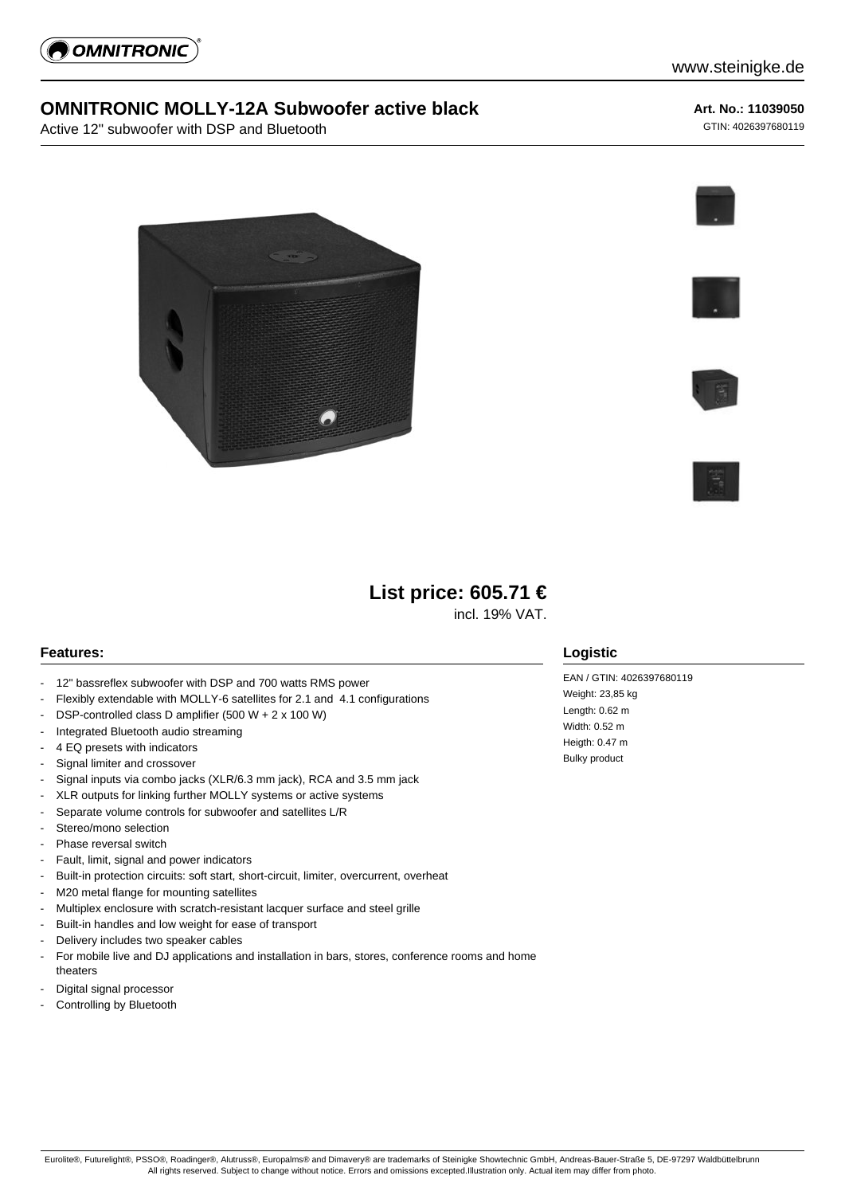

## **OMNITRONIC MOLLY-12A Subwoofer active black**

Active 12" subwoofer with DSP and Bluetooth

#### **Art. No.: 11039050**

GTIN: 4026397680119









# **List price: 605.71 €**

incl. 19% VAT.

#### **Features:**

- 12" bassreflex subwoofer with DSP and 700 watts RMS power
- Flexibly extendable with MOLLY-6 satellites for 2.1 and 4.1 configurations
- DSP-controlled class D amplifier (500 W + 2 x 100 W)
- Integrated Bluetooth audio streaming
- 4 EQ presets with indicators
- Signal limiter and crossover
- Signal inputs via combo jacks (XLR/6.3 mm jack), RCA and 3.5 mm jack
- XLR outputs for linking further MOLLY systems or active systems
- Separate volume controls for subwoofer and satellites L/R
- Stereo/mono selection
- Phase reversal switch
- Fault, limit, signal and power indicators
- Built-in protection circuits: soft start, short-circuit, limiter, overcurrent, overheat
- M20 metal flange for mounting satellites
- Multiplex enclosure with scratch-resistant lacquer surface and steel grille
- Built-in handles and low weight for ease of transport
- Delivery includes two speaker cables
- For mobile live and DJ applications and installation in bars, stores, conference rooms and home theaters
- Digital signal processor
- Controlling by Bluetooth

### **Logistic**

EAN / GTIN: 4026397680119 Weight: 23,85 kg Length: 0.62 m Width: 0.52 m Heigth: 0.47 m Bulky product